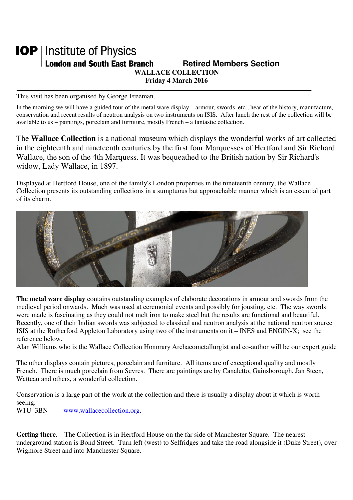## **IOP** | Institute of Physics **London and South East Branch Fig. 3. Retired Members Section WALLACE COLLECTION Friday 4 March 2016**

This visit has been organised by George Freeman.

In the morning we will have a guided tour of the metal ware display – armour, swords, etc., hear of the history, manufacture, conservation and recent results of neutron analysis on two instruments on ISIS. After lunch the rest of the collection will be available to us – paintings, porcelain and furniture, mostly French – a fantastic collection.

The **Wallace Collection** is a national museum which displays the wonderful works of art collected in the eighteenth and nineteenth centuries by the first four Marquesses of Hertford and Sir Richard Wallace, the son of the 4th Marquess. It was bequeathed to the British nation by Sir Richard's widow, Lady Wallace, in 1897.

Displayed at Hertford House, one of the family's London properties in the nineteenth century, the Wallace Collection presents its outstanding collections in a sumptuous but approachable manner which is an essential part of its charm.



**The metal ware display** contains outstanding examples of elaborate decorations in armour and swords from the medieval period onwards. Much was used at ceremonial events and possibly for jousting, etc. The way swords were made is fascinating as they could not melt iron to make steel but the results are functional and beautiful. Recently, one of their Indian swords was subjected to classical and neutron analysis at the national neutron source ISIS at the Rutherford Appleton Laboratory using two of the instruments on it – INES and ENGIN-X; see the reference below.

Alan Williams who is the Wallace Collection Honorary Archaeometallurgist and co-author will be our expert guide

The other displays contain pictures, porcelain and furniture. All items are of exceptional quality and mostly French. There is much porcelain from Sevres. There are paintings are by Canaletto, Gainsborough, Jan Steen, Watteau and others, a wonderful collection.

Conservation is a large part of the work at the collection and there is usually a display about it which is worth seeing.<br>W1U 3BN

www.wallacecollection.org.

**Getting there**. The Collection is in Hertford House on the far side of Manchester Square. The nearest underground station is Bond Street. Turn left (west) to Selfridges and take the road alongside it (Duke Street), over Wigmore Street and into Manchester Square.